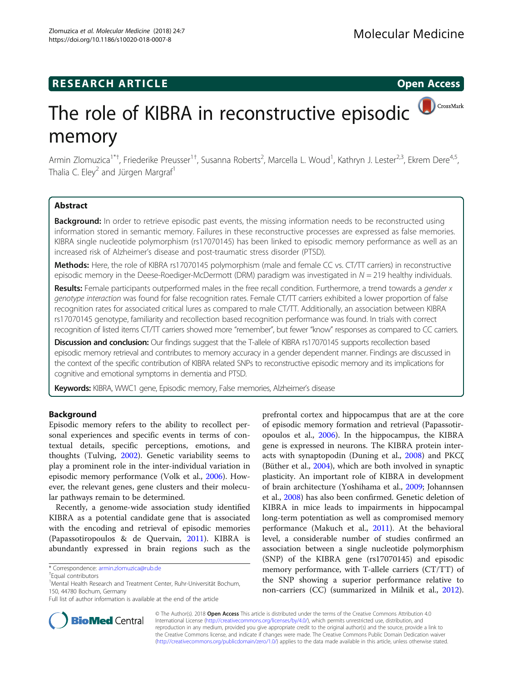## **RESEARCH ARTICLE Example 2014 CONSIDERING CONSIDERING CONSIDERING CONSIDERING CONSIDERING CONSIDERING CONSIDERING CONSIDERING CONSIDERING CONSIDERING CONSIDERING CONSIDERING CONSIDERING CONSIDERING CONSIDERING CONSIDE**



# The role of KIBRA in reconstructive episodic memory

Armin Zlomuzica<sup>1\*†</sup>, Friederike Preusser<sup>1†</sup>, Susanna Roberts<sup>2</sup>, Marcella L. Woud<sup>1</sup>, Kathryn J. Lester<sup>2,3</sup>, Ekrem Dere<sup>4,5</sup>, Thalia C. Eley<sup>2</sup> and Jürgen Margraf<sup>1</sup>

## Abstract

Background: In order to retrieve episodic past events, the missing information needs to be reconstructed using information stored in semantic memory. Failures in these reconstructive processes are expressed as false memories. KIBRA single nucleotide polymorphism (rs17070145) has been linked to episodic memory performance as well as an increased risk of Alzheimer's disease and post-traumatic stress disorder (PTSD).

Methods: Here, the role of KIBRA rs17070145 polymorphism (male and female CC vs. CT/TT carriers) in reconstructive episodic memory in the Deese-Roediger-McDermott (DRM) paradigm was investigated in  $N = 219$  healthy individuals.

Results: Female participants outperformed males in the free recall condition. Furthermore, a trend towards a gender x genotype interaction was found for false recognition rates. Female CT/TT carriers exhibited a lower proportion of false recognition rates for associated critical lures as compared to male CT/TT. Additionally, an association between KIBRA rs17070145 genotype, familiarity and recollection based recognition performance was found. In trials with correct recognition of listed items CT/TT carriers showed more "remember", but fewer "know" responses as compared to CC carriers.

Discussion and conclusion: Our findings suggest that the T-allele of KIBRA rs17070145 supports recollection based episodic memory retrieval and contributes to memory accuracy in a gender dependent manner. Findings are discussed in the context of the specific contribution of KIBRA related SNPs to reconstructive episodic memory and its implications for cognitive and emotional symptoms in dementia and PTSD.

Keywords: KIBRA, WWC1 gene, Episodic memory, False memories, Alzheimer's disease

## Background

Episodic memory refers to the ability to recollect personal experiences and specific events in terms of contextual details, specific perceptions, emotions, and thoughts (Tulving, [2002\)](#page-8-0). Genetic variability seems to play a prominent role in the inter-individual variation in episodic memory performance (Volk et al., [2006\)](#page-8-0). However, the relevant genes, gene clusters and their molecular pathways remain to be determined.

Recently, a genome-wide association study identified KIBRA as a potential candidate gene that is associated with the encoding and retrieval of episodic memories (Papassotiropoulos & de Quervain, [2011\)](#page-7-0). KIBRA is abundantly expressed in brain regions such as the

prefrontal cortex and hippocampus that are at the core of episodic memory formation and retrieval (Papassotiropoulos et al., [2006](#page-7-0)). In the hippocampus, the KIBRA gene is expressed in neurons. The KIBRA protein interacts with synaptopodin (Duning et al., [2008\)](#page-7-0) and PKCζ (Büther et al., [2004](#page-7-0)), which are both involved in synaptic plasticity. An important role of KIBRA in development of brain architecture (Yoshihama et al., [2009;](#page-8-0) Johannsen et al., [2008](#page-7-0)) has also been confirmed. Genetic deletion of KIBRA in mice leads to impairments in hippocampal long-term potentiation as well as compromised memory performance (Makuch et al., [2011\)](#page-7-0). At the behavioral level, a considerable number of studies confirmed an association between a single nucleotide polymorphism (SNP) of the KIBRA gene (rs17070145) and episodic memory performance, with T-allele carriers (CT/TT) of the SNP showing a superior performance relative to non-carriers (CC) (summarized in Milnik et al., [2012](#page-7-0)).



© The Author(s). 2018 Open Access This article is distributed under the terms of the Creative Commons Attribution 4.0 International License [\(http://creativecommons.org/licenses/by/4.0/](http://creativecommons.org/licenses/by/4.0/)), which permits unrestricted use, distribution, and reproduction in any medium, provided you give appropriate credit to the original author(s) and the source, provide a link to the Creative Commons license, and indicate if changes were made. The Creative Commons Public Domain Dedication waiver [\(http://creativecommons.org/publicdomain/zero/1.0/](http://creativecommons.org/publicdomain/zero/1.0/)) applies to the data made available in this article, unless otherwise stated.

<sup>\*</sup> Correspondence: [armin.zlomuzica@rub.de](mailto:armin.zlomuzica@rub.de) †

Equal contributors

<sup>&</sup>lt;sup>1</sup> Mental Health Research and Treatment Center, Ruhr-Universität Bochum, 150, 44780 Bochum, Germany

Full list of author information is available at the end of the article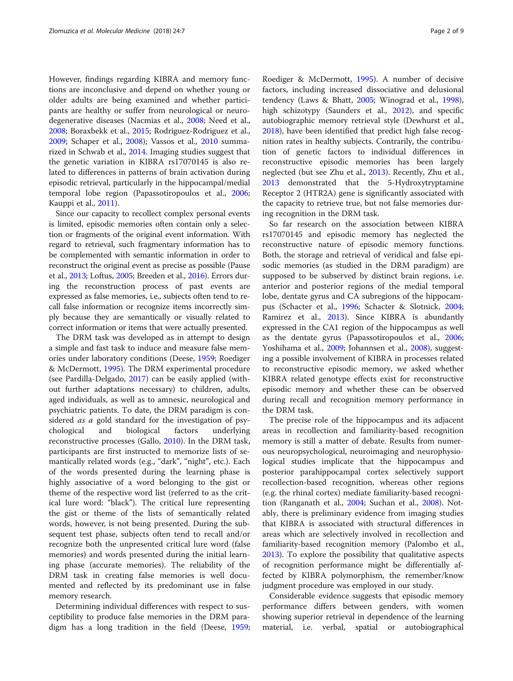However, findings regarding KIBRA and memory functions are inconclusive and depend on whether young or older adults are being examined and whether participants are healthy or suffer from neurological or neurodegenerative diseases (Nacmias et al., [2008;](#page-7-0) Need et al., [2008](#page-7-0); Boraxbekk et al., [2015](#page-7-0); Rodriguez-Rodriguez et al., [2009](#page-7-0); Schaper et al., [2008\)](#page-8-0); Vassos et al., [2010](#page-8-0) summarized in Schwab et al., [2014](#page-8-0). Imaging studies suggest that the genetic variation in KIBRA rs17070145 is also related to differences in patterns of brain activation during episodic retrieval, particularly in the hippocampal/medial temporal lobe region (Papassotiropoulos et al., [2006](#page-7-0); Kauppi et al., [2011](#page-7-0)).

Since our capacity to recollect complex personal events is limited, episodic memories often contain only a selection or fragments of the original event information. With regard to retrieval, such fragmentary information has to be complemented with semantic information in order to reconstruct the original event as precise as possible (Pause et al., [2013;](#page-7-0) Loftus, [2005](#page-7-0); Breeden et al., [2016\)](#page-7-0). Errors during the reconstruction process of past events are expressed as false memories, i.e., subjects often tend to recall false information or recognize items incorrectly simply because they are semantically or visually related to correct information or items that were actually presented.

The DRM task was developed as in attempt to design a simple and fast task to induce and measure false memories under laboratory conditions (Deese, [1959](#page-7-0); Roediger & McDermott, [1995](#page-7-0)). The DRM experimental procedure (see Pardilla-Delgado, [2017](#page-7-0)) can be easily applied (without further adaptations necessary) to children, adults, aged individuals, as well as to amnesic, neurological and psychiatric patients. To date, the DRM paradigm is considered *as a* gold standard for the investigation of psychological and biological factors underlying reconstructive processes (Gallo, [2010\)](#page-7-0). In the DRM task, participants are first instructed to memorize lists of semantically related words (e.g., "dark", "night", etc.). Each of the words presented during the learning phase is highly associative of a word belonging to the gist or theme of the respective word list (referred to as the critical lure word: "black"). The critical lure representing the gist or theme of the lists of semantically related words, however, is not being presented. During the subsequent test phase, subjects often tend to recall and/or recognize both the unpresented critical lure word (false memories) and words presented during the initial learning phase (accurate memories). The reliability of the DRM task in creating false memories is well documented and reflected by its predominant use in false memory research.

Determining individual differences with respect to susceptibility to produce false memories in the DRM paradigm has a long tradition in the field (Deese, [1959](#page-7-0);

Roediger & McDermott, [1995\)](#page-7-0). A number of decisive factors, including increased dissociative and delusional tendency (Laws & Bhatt, [2005](#page-7-0); Winograd et al., [1998](#page-8-0)), high schizotypy (Saunders et al., [2012](#page-7-0)), and specific autobiographic memory retrieval style (Dewhurst et al., [2018](#page-7-0)), have been identified that predict high false recognition rates in healthy subjects. Contrarily, the contribution of genetic factors to individual differences in reconstructive episodic memories has been largely neglected (but see Zhu et al., [2013\)](#page-8-0). Recently, Zhu et al., [2013](#page-8-0) demonstrated that the 5-Hydroxytryptamine Receptor 2 (HTR2A) gene is significantly associated with the capacity to retrieve true, but not false memories during recognition in the DRM task.

So far research on the association between KIBRA rs17070145 and episodic memory has neglected the reconstructive nature of episodic memory functions. Both, the storage and retrieval of veridical and false episodic memories (as studied in the DRM paradigm) are supposed to be subserved by distinct brain regions, i.e. anterior and posterior regions of the medial temporal lobe, dentate gyrus and CA subregions of the hippocampus (Schacter et al., [1996](#page-8-0); Schacter & Slotnick, [2004](#page-8-0); Ramirez et al., [2013\)](#page-7-0). Since KIBRA is abundantly expressed in the CA1 region of the hippocampus as well as the dentate gyrus (Papassotiropoulos et al., [2006](#page-7-0); Yoshihama et al., [2009](#page-8-0); Johannsen et al., [2008](#page-7-0)), suggesting a possible involvement of KIBRA in processes related to reconstructive episodic memory, we asked whether KIBRA related genotype effects exist for reconstructive episodic memory and whether these can be observed during recall and recognition memory performance in the DRM task.

The precise role of the hippocampus and its adjacent areas in recollection and familiarity-based recognition memory is still a matter of debate. Results from numerous neuropsychological, neuroimaging and neurophysiological studies implicate that the hippocampus and posterior parahippocampal cortex selectively support recollection-based recognition, whereas other regions (e.g. the rhinal cortex) mediate familiarity-based recognition (Ranganath et al., [2004;](#page-7-0) Suchan et al., [2008\)](#page-8-0). Notably, there is preliminary evidence from imaging studies that KIBRA is associated with structural differences in areas which are selectively involved in recollection and familiarity-based recognition memory (Palombo et al., [2013](#page-7-0)). To explore the possibility that qualitative aspects of recognition performance might be differentially affected by KIBRA polymorphism, the remember/know judgment procedure was employed in our study.

Considerable evidence suggests that episodic memory performance differs between genders, with women showing superior retrieval in dependence of the learning material, i.e. verbal, spatial or autobiographical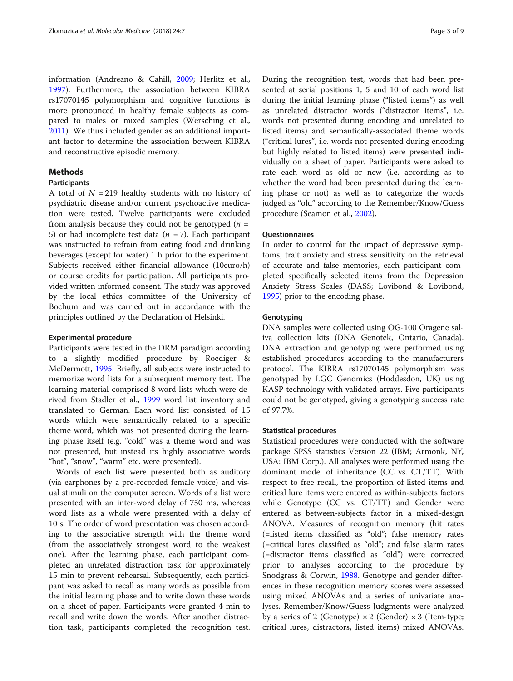information (Andreano & Cahill, [2009](#page-7-0); Herlitz et al., [1997](#page-7-0)). Furthermore, the association between KIBRA rs17070145 polymorphism and cognitive functions is more pronounced in healthy female subjects as compared to males or mixed samples (Wersching et al., [2011](#page-8-0)). We thus included gender as an additional important factor to determine the association between KIBRA and reconstructive episodic memory.

## Methods

#### Participants

A total of  $N = 219$  healthy students with no history of psychiatric disease and/or current psychoactive medication were tested. Twelve participants were excluded from analysis because they could not be genotyped ( $n =$ 5) or had incomplete test data ( $n = 7$ ). Each participant was instructed to refrain from eating food and drinking beverages (except for water) 1 h prior to the experiment. Subjects received either financial allowance (10euro/h) or course credits for participation. All participants provided written informed consent. The study was approved by the local ethics committee of the University of Bochum and was carried out in accordance with the principles outlined by the Declaration of Helsinki.

#### Experimental procedure

Participants were tested in the DRM paradigm according to a slightly modified procedure by Roediger & McDermott, [1995](#page-7-0). Briefly, all subjects were instructed to memorize word lists for a subsequent memory test. The learning material comprised 8 word lists which were derived from Stadler et al., [1999](#page-8-0) word list inventory and translated to German. Each word list consisted of 15 words which were semantically related to a specific theme word, which was not presented during the learning phase itself (e.g. "cold" was a theme word and was not presented, but instead its highly associative words "hot", "snow", "warm" etc. were presented).

Words of each list were presented both as auditory (via earphones by a pre-recorded female voice) and visual stimuli on the computer screen. Words of a list were presented with an inter-word delay of 750 ms, whereas word lists as a whole were presented with a delay of 10 s. The order of word presentation was chosen according to the associative strength with the theme word (from the associatively strongest word to the weakest one). After the learning phase, each participant completed an unrelated distraction task for approximately 15 min to prevent rehearsal. Subsequently, each participant was asked to recall as many words as possible from the initial learning phase and to write down these words on a sheet of paper. Participants were granted 4 min to recall and write down the words. After another distraction task, participants completed the recognition test.

During the recognition test, words that had been presented at serial positions 1, 5 and 10 of each word list during the initial learning phase ("listed items") as well as unrelated distractor words ("distractor items", i.e. words not presented during encoding and unrelated to listed items) and semantically-associated theme words ("critical lures", i.e. words not presented during encoding but highly related to listed items) were presented individually on a sheet of paper. Participants were asked to rate each word as old or new (i.e. according as to whether the word had been presented during the learning phase or not) as well as to categorize the words judged as "old" according to the Remember/Know/Guess procedure (Seamon et al., [2002](#page-8-0)).

#### **Questionnaires**

In order to control for the impact of depressive symptoms, trait anxiety and stress sensitivity on the retrieval of accurate and false memories, each participant completed specifically selected items from the Depression Anxiety Stress Scales (DASS; Lovibond & Lovibond, [1995](#page-7-0)) prior to the encoding phase.

#### Genotyping

DNA samples were collected using OG-100 Oragene saliva collection kits (DNA Genotek, Ontario, Canada). DNA extraction and genotyping were performed using established procedures according to the manufacturers protocol. The KIBRA rs17070145 polymorphism was genotyped by LGC Genomics (Hoddesdon, UK) using KASP technology with validated arrays. Five participants could not be genotyped, giving a genotyping success rate of 97.7%.

#### Statistical procedures

Statistical procedures were conducted with the software package SPSS statistics Version 22 (IBM; Armonk, NY, USA: IBM Corp.). All analyses were performed using the dominant model of inheritance (CC vs. CT/TT). With respect to free recall, the proportion of listed items and critical lure items were entered as within-subjects factors while Genotype (CC vs. CT/TT) and Gender were entered as between-subjects factor in a mixed-design ANOVA. Measures of recognition memory (hit rates (=listed items classified as "old"; false memory rates (=critical lures classified as "old"; and false alarm rates (=distractor items classified as "old") were corrected prior to analyses according to the procedure by Snodgrass & Corwin, [1988.](#page-8-0) Genotype and gender differences in these recognition memory scores were assessed using mixed ANOVAs and a series of univariate analyses. Remember/Know/Guess Judgments were analyzed by a series of 2 (Genotype)  $\times$  2 (Gender)  $\times$  3 (Item-type; critical lures, distractors, listed items) mixed ANOVAs.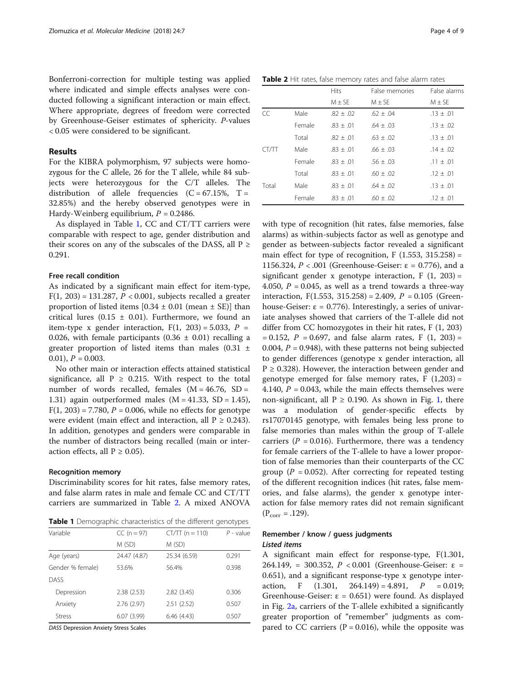Bonferroni-correction for multiple testing was applied where indicated and simple effects analyses were conducted following a significant interaction or main effect. Where appropriate, degrees of freedom were corrected by Greenhouse-Geiser estimates of sphericity. P-values < 0.05 were considered to be significant.

#### Results

For the KIBRA polymorphism, 97 subjects were homozygous for the C allele, 26 for the T allele, while 84 subjects were heterozygous for the C/T alleles. The distribution of allele frequencies  $(C = 67.15\% , T =$ 32.85%) and the hereby observed genotypes were in Hardy-Weinberg equilibrium,  $P = 0.2486$ .

As displayed in Table 1, CC and CT/TT carriers were comparable with respect to age, gender distribution and their scores on any of the subscales of the DASS, all  $P \ge$ 0.291.

#### Free recall condition

As indicated by a significant main effect for item-type,  $F(1, 203) = 131.287$ ,  $P < 0.001$ , subjects recalled a greater proportion of listed items  $[0.34 \pm 0.01$  (mean  $\pm$  SE)] than critical lures (0.15  $\pm$  0.01). Furthermore, we found an item-type x gender interaction,  $F(1, 203) = 5.033$ ,  $P =$ 0.026, with female participants  $(0.36 \pm 0.01)$  recalling a greater proportion of listed items than males  $(0.31 \pm 1)$ 0.01),  $P = 0.003$ .

No other main or interaction effects attained statistical significance, all  $P \ge 0.215$ . With respect to the total number of words recalled, females  $(M = 46.76, SD =$ 1.31) again outperformed males  $(M = 41.33, SD = 1.45)$ ,  $F(1, 203) = 7.780$ ,  $P = 0.006$ , while no effects for genotype were evident (main effect and interaction, all  $P \ge 0.243$ ). In addition, genotypes and genders were comparable in the number of distractors being recalled (main or interaction effects, all  $P \ge 0.05$ ).

#### Recognition memory

Discriminability scores for hit rates, false memory rates, and false alarm rates in male and female CC and CT/TT carriers are summarized in Table 2. A mixed ANOVA

Table 1 Demographic characteristics of the different genotypes

| Variable         | $CC (n = 97)$ | $CT/TT$ (n = 110) | $P -$ value |
|------------------|---------------|-------------------|-------------|
|                  | M (SD)        | M (SD)            |             |
| Age (years)      | 24.47 (4.87)  | 25.34 (6.59)      | 0.291       |
| Gender % female) | 53.6%         | 56.4%             | 0.398       |
| <b>DASS</b>      |               |                   |             |
| Depression       | 2.38(2.53)    | 2.82(3.45)        | 0.306       |
| Anxiety          | 2.76(2.97)    | 2.51(2.52)        | 0.507       |
| Stress           | 6.07(3.99)    | 6.46(4.43)        | 0.507       |

DASS Depression Anxiety Stress Scales

Table 2 Hit rates, false memory rates and false alarm rates

|       |        | <b>Hits</b><br>$M + SF$ | False memories<br>$M + SF$ | False alarms<br>$M + SF$ |
|-------|--------|-------------------------|----------------------------|--------------------------|
|       |        |                         |                            |                          |
| CC    | Male   | $.82 + .02$             | $.62 + .04$                | $.13 \pm .01$            |
|       | Female | $.83 + .01$             | $.64 + .03$                | $.13 + .02$              |
|       | Total  | $.82 + .01$             | $.63 + .02$                | $.13 + .01$              |
| CT/TT | Male   | $.83 + .01$             | $.66 + .03$                | $.14 + .02$              |
|       | Female | $.83 + .01$             | $.56 + .03$                | $.11 + .01$              |
|       | Total  | $.83 + .01$             | $.60 \pm .02$              | $.12 + .01$              |
| Total | Male   | $.83 + .01$             | $.64 + .02$                | $.13 \pm .01$            |
|       | Female | $.83 + .01$             | $.60 + .02$                | $.12 \pm .01$            |

with type of recognition (hit rates, false memories, false alarms) as within-subjects factor as well as genotype and gender as between-subjects factor revealed a significant main effect for type of recognition,  $F(1.553, 315.258) =$ 1156.324,  $P < .001$  (Greenhouse-Geiser: ε = 0.776), and a significant gender x genotype interaction,  $F(1, 203) =$ 4.050,  $P = 0.045$ , as well as a trend towards a three-way interaction,  $F(1.553, 315.258) = 2.409$ ,  $P = 0.105$  (Greenhouse-Geiser:  $\epsilon = 0.776$ ). Interestingly, a series of univariate analyses showed that carriers of the T-allele did not differ from CC homozygotes in their hit rates, F (1, 203)  $= 0.152, P = 0.697$ , and false alarm rates, F (1, 203) = 0.004,  $P = 0.948$ ), with these patterns not being subjected to gender differences (genotype x gender interaction, all  $P \ge 0.328$ ). However, the interaction between gender and genotype emerged for false memory rates,  $F(1,203) =$ 4.140,  $P = 0.043$ , while the main effects themselves were non-significant, all  $P \ge 0.190$ . As shown in Fig. [1,](#page-4-0) there was a modulation of gender-specific effects by rs17070145 genotype, with females being less prone to false memories than males within the group of T-allele carriers ( $P = 0.016$ ). Furthermore, there was a tendency for female carriers of the T-allele to have a lower proportion of false memories than their counterparts of the CC group ( $P = 0.052$ ). After correcting for repeated testing of the different recognition indices (hit rates, false memories, and false alarms), the gender x genotype interaction for false memory rates did not remain significant  $(P_{corr} = .129)$ .

#### Remember / know / guess judgments Listed items

A significant main effect for response-type, F(1.301, 264.149, = 300.352,  $P < 0.001$  (Greenhouse-Geiser: ε = 0.651), and a significant response-type x genotype interaction, F  $(1.301, 264.149) = 4.891, P = 0.019;$ Greenhouse-Geiser:  $\epsilon = 0.651$ ) were found. As displayed in Fig. [2a,](#page-4-0) carriers of the T-allele exhibited a significantly greater proportion of "remember" judgments as compared to CC carriers ( $P = 0.016$ ), while the opposite was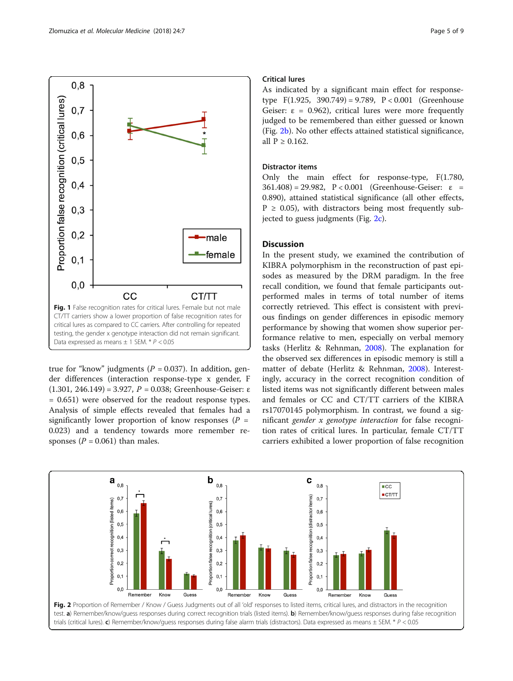<span id="page-4-0"></span>

true for "know" judgments ( $P = 0.037$ ). In addition, gender differences (interaction response-type x gender, F (1.301, 246.149) = 3.927,  $P = 0.038$ ; Greenhouse-Geiser: ε = 0.651) were observed for the readout response types. Analysis of simple effects revealed that females had a significantly lower proportion of know responses  $(P =$ 0.023) and a tendency towards more remember responses ( $P = 0.061$ ) than males.

#### Critical lures

As indicated by a significant main effect for responsetype  $F(1.925, 390.749) = 9.789, P < 0.001$  (Greenhouse Geiser:  $\epsilon$  = 0.962), critical lures were more frequently judged to be remembered than either guessed or known (Fig. 2b). No other effects attained statistical significance, all  $P \ge 0.162$ .

#### Distractor items

Only the main effect for response-type, F(1.780, 361.408) = 29.982,  $P < 0.001$  (Greenhouse-Geiser:  $\varepsilon$  = 0.890), attained statistical significance (all other effects,  $P \geq 0.05$ , with distractors being most frequently subjected to guess judgments (Fig. 2c).

### Discussion

In the present study, we examined the contribution of KIBRA polymorphism in the reconstruction of past episodes as measured by the DRM paradigm. In the free recall condition, we found that female participants outperformed males in terms of total number of items correctly retrieved. This effect is consistent with previous findings on gender differences in episodic memory performance by showing that women show superior performance relative to men, especially on verbal memory tasks (Herlitz & Rehnman, [2008\)](#page-7-0). The explanation for the observed sex differences in episodic memory is still a matter of debate (Herlitz & Rehnman, [2008\)](#page-7-0). Interestingly, accuracy in the correct recognition condition of listed items was not significantly different between males and females or CC and CT/TT carriers of the KIBRA rs17070145 polymorphism. In contrast, we found a significant gender x genotype interaction for false recognition rates of critical lures. In particular, female CT/TT carriers exhibited a lower proportion of false recognition

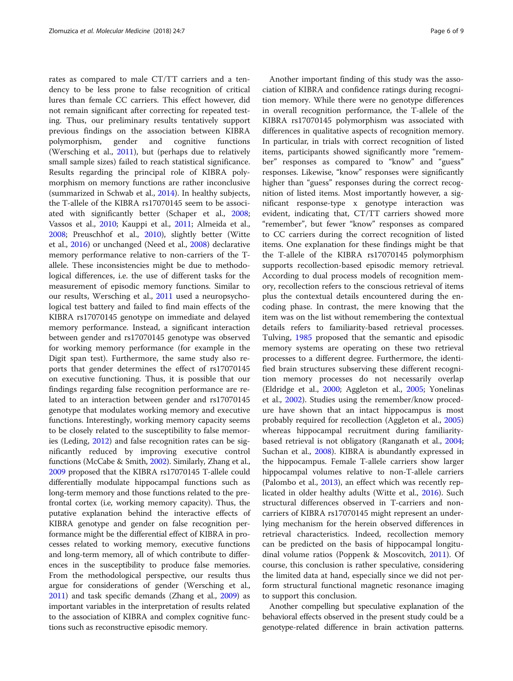rates as compared to male CT/TT carriers and a tendency to be less prone to false recognition of critical lures than female CC carriers. This effect however, did not remain significant after correcting for repeated testing. Thus, our preliminary results tentatively support previous findings on the association between KIBRA polymorphism, gender and cognitive functions (Wersching et al., [2011](#page-8-0)), but (perhaps due to relatively small sample sizes) failed to reach statistical significance. Results regarding the principal role of KIBRA polymorphism on memory functions are rather inconclusive (summarized in Schwab et al., [2014\)](#page-8-0). In healthy subjects, the T-allele of the KIBRA rs17070145 seem to be associated with significantly better (Schaper et al., [2008](#page-8-0); Vassos et al., [2010](#page-8-0); Kauppi et al., [2011](#page-7-0); Almeida et al., [2008](#page-7-0); Preuschhof et al., [2010](#page-7-0)), slightly better (Witte et al., [2016\)](#page-8-0) or unchanged (Need et al., [2008](#page-7-0)) declarative memory performance relative to non-carriers of the Tallele. These inconsistencies might be due to methodological differences, i.e. the use of different tasks for the measurement of episodic memory functions. Similar to our results, Wersching et al., [2011](#page-8-0) used a neuropsychological test battery and failed to find main effects of the KIBRA rs17070145 genotype on immediate and delayed memory performance. Instead, a significant interaction between gender and rs17070145 genotype was observed for working memory performance (for example in the Digit span test). Furthermore, the same study also reports that gender determines the effect of rs17070145 on executive functioning. Thus, it is possible that our findings regarding false recognition performance are related to an interaction between gender and rs17070145 genotype that modulates working memory and executive functions. Interestingly, working memory capacity seems to be closely related to the susceptibility to false memories (Leding, [2012\)](#page-7-0) and false recognition rates can be significantly reduced by improving executive control functions (McCabe & Smith, [2002](#page-7-0)). Similarly, Zhang et al., [2009](#page-8-0) proposed that the KIBRA rs17070145 T-allele could differentially modulate hippocampal functions such as long-term memory and those functions related to the prefrontal cortex (i.e, working memory capacity). Thus, the putative explanation behind the interactive effects of KIBRA genotype and gender on false recognition performance might be the differential effect of KIBRA in processes related to working memory, executive functions and long-term memory, all of which contribute to differences in the susceptibility to produce false memories. From the methodological perspective, our results thus argue for considerations of gender (Wersching et al., [2011\)](#page-8-0) and task specific demands (Zhang et al., [2009](#page-8-0)) as important variables in the interpretation of results related to the association of KIBRA and complex cognitive functions such as reconstructive episodic memory.

Another important finding of this study was the association of KIBRA and confidence ratings during recognition memory. While there were no genotype differences in overall recognition performance, the T-allele of the KIBRA rs17070145 polymorphism was associated with differences in qualitative aspects of recognition memory. In particular, in trials with correct recognition of listed items, participants showed significantly more "remember" responses as compared to "know" and "guess" responses. Likewise, "know" responses were significantly higher than "guess" responses during the correct recognition of listed items. Most importantly however, a significant response-type x genotype interaction was evident, indicating that, CT/TT carriers showed more "remember", but fewer "know" responses as compared to CC carriers during the correct recognition of listed items. One explanation for these findings might be that the T-allele of the KIBRA rs17070145 polymorphism supports recollection-based episodic memory retrieval. According to dual process models of recognition memory, recollection refers to the conscious retrieval of items plus the contextual details encountered during the encoding phase. In contrast, the mere knowing that the item was on the list without remembering the contextual details refers to familiarity-based retrieval processes. Tulving, [1985](#page-8-0) proposed that the semantic and episodic memory systems are operating on these two retrieval processes to a different degree. Furthermore, the identified brain structures subserving these different recognition memory processes do not necessarily overlap (Eldridge et al., [2000;](#page-7-0) Aggleton et al., [2005;](#page-7-0) Yonelinas et al., [2002\)](#page-8-0). Studies using the remember/know procedure have shown that an intact hippocampus is most probably required for recollection (Aggleton et al., [2005](#page-7-0)) whereas hippocampal recruitment during familiaritybased retrieval is not obligatory (Ranganath et al., [2004](#page-7-0); Suchan et al., [2008](#page-8-0)). KIBRA is abundantly expressed in the hippocampus. Female T-allele carriers show larger hippocampal volumes relative to non-T-allele carriers (Palombo et al., [2013](#page-7-0)), an effect which was recently replicated in older healthy adults (Witte et al., [2016](#page-8-0)). Such structural differences observed in T-carriers and noncarriers of KIBRA rs17070145 might represent an underlying mechanism for the herein observed differences in retrieval characteristics. Indeed, recollection memory can be predicted on the basis of hippocampal longitudinal volume ratios (Poppenk & Moscovitch, [2011](#page-7-0)). Of course, this conclusion is rather speculative, considering the limited data at hand, especially since we did not perform structural functional magnetic resonance imaging to support this conclusion.

Another compelling but speculative explanation of the behavioral effects observed in the present study could be a genotype-related difference in brain activation patterns.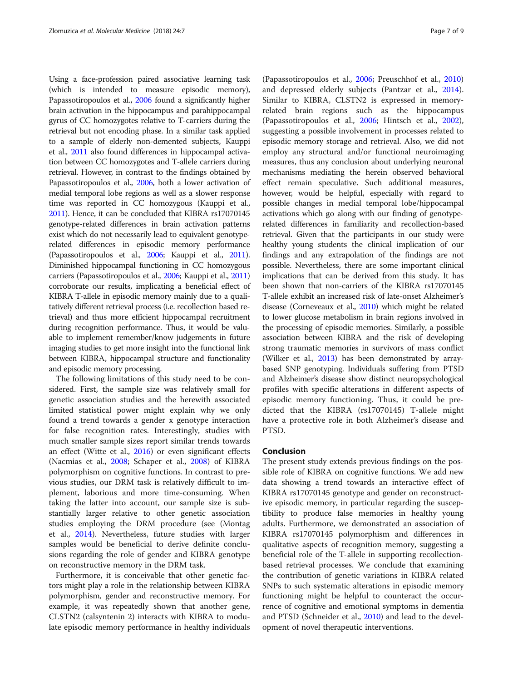Using a face-profession paired associative learning task (which is intended to measure episodic memory), Papassotiropoulos et al., [2006](#page-7-0) found a significantly higher brain activation in the hippocampus and parahippocampal gyrus of CC homozygotes relative to T-carriers during the retrieval but not encoding phase. In a similar task applied to a sample of elderly non-demented subjects, Kauppi et al., [2011](#page-7-0) also found differences in hippocampal activation between CC homozygotes and T-allele carriers during retrieval. However, in contrast to the findings obtained by Papassotiropoulos et al., [2006,](#page-7-0) both a lower activation of medial temporal lobe regions as well as a slower response time was reported in CC homozygous (Kauppi et al., [2011\)](#page-7-0). Hence, it can be concluded that KIBRA rs17070145 genotype-related differences in brain activation patterns exist which do not necessarily lead to equivalent genotyperelated differences in episodic memory performance (Papassotiropoulos et al., [2006](#page-7-0); Kauppi et al., [2011](#page-7-0)). Diminished hippocampal functioning in CC homozygous carriers (Papassotiropoulos et al., [2006;](#page-7-0) Kauppi et al., [2011](#page-7-0)) corroborate our results, implicating a beneficial effect of KIBRA T-allele in episodic memory mainly due to a qualitatively different retrieval process (i.e. recollection based retrieval) and thus more efficient hippocampal recruitment during recognition performance. Thus, it would be valuable to implement remember/know judgements in future imaging studies to get more insight into the functional link between KIBRA, hippocampal structure and functionality and episodic memory processing.

The following limitations of this study need to be considered. First, the sample size was relatively small for genetic association studies and the herewith associated limited statistical power might explain why we only found a trend towards a gender x genotype interaction for false recognition rates. Interestingly, studies with much smaller sample sizes report similar trends towards an effect (Witte et al., [2016\)](#page-8-0) or even significant effects (Nacmias et al., [2008](#page-7-0); Schaper et al., [2008\)](#page-8-0) of KIBRA polymorphism on cognitive functions. In contrast to previous studies, our DRM task is relatively difficult to implement, laborious and more time-consuming. When taking the latter into account, our sample size is substantially larger relative to other genetic association studies employing the DRM procedure (see (Montag et al., [2014\)](#page-7-0). Nevertheless, future studies with larger samples would be beneficial to derive definite conclusions regarding the role of gender and KIBRA genotype on reconstructive memory in the DRM task.

Furthermore, it is conceivable that other genetic factors might play a role in the relationship between KIBRA polymorphism, gender and reconstructive memory. For example, it was repeatedly shown that another gene, CLSTN2 (calsyntenin 2) interacts with KIBRA to modulate episodic memory performance in healthy individuals

(Papassotiropoulos et al., [2006;](#page-7-0) Preuschhof et al., [2010](#page-7-0)) and depressed elderly subjects (Pantzar et al., [2014](#page-7-0)). Similar to KIBRA, CLSTN2 is expressed in memoryrelated brain regions such as the hippocampus (Papassotiropoulos et al., [2006](#page-7-0); Hintsch et al., [2002](#page-7-0)), suggesting a possible involvement in processes related to episodic memory storage and retrieval. Also, we did not employ any structural and/or functional neuroimaging measures, thus any conclusion about underlying neuronal mechanisms mediating the herein observed behavioral effect remain speculative. Such additional measures, however, would be helpful, especially with regard to possible changes in medial temporal lobe/hippocampal activations which go along with our finding of genotyperelated differences in familiarity and recollection-based retrieval. Given that the participants in our study were healthy young students the clinical implication of our findings and any extrapolation of the findings are not possible. Nevertheless, there are some important clinical implications that can be derived from this study. It has been shown that non-carriers of the KIBRA rs17070145 T-allele exhibit an increased risk of late-onset Alzheimer's disease (Corneveaux et al., [2010](#page-7-0)) which might be related to lower glucose metabolism in brain regions involved in the processing of episodic memories. Similarly, a possible association between KIBRA and the risk of developing strong traumatic memories in survivors of mass conflict (Wilker et al., [2013\)](#page-8-0) has been demonstrated by arraybased SNP genotyping. Individuals suffering from PTSD and Alzheimer's disease show distinct neuropsychological profiles with specific alterations in different aspects of episodic memory functioning. Thus, it could be predicted that the KIBRA (rs17070145) T-allele might have a protective role in both Alzheimer's disease and PTSD.

#### Conclusion

The present study extends previous findings on the possible role of KIBRA on cognitive functions. We add new data showing a trend towards an interactive effect of KIBRA rs17070145 genotype and gender on reconstructive episodic memory, in particular regarding the susceptibility to produce false memories in healthy young adults. Furthermore, we demonstrated an association of KIBRA rs17070145 polymorphism and differences in qualitative aspects of recognition memory, suggesting a beneficial role of the T-allele in supporting recollectionbased retrieval processes. We conclude that examining the contribution of genetic variations in KIBRA related SNPs to such systematic alterations in episodic memory functioning might be helpful to counteract the occurrence of cognitive and emotional symptoms in dementia and PTSD (Schneider et al., [2010](#page-8-0)) and lead to the development of novel therapeutic interventions.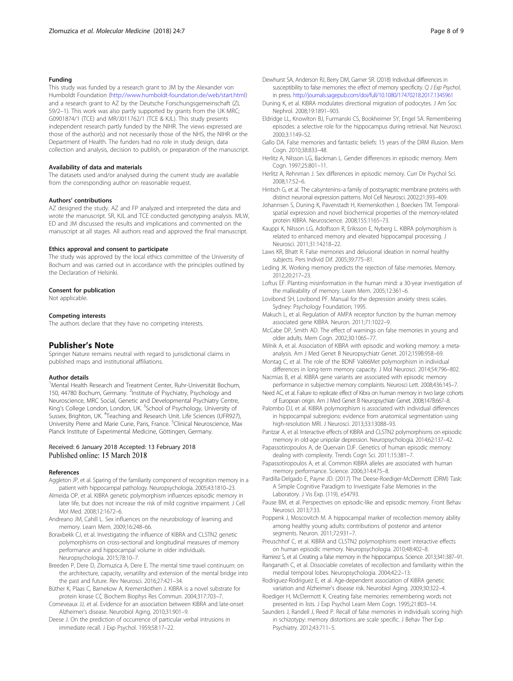#### <span id="page-7-0"></span>Funding

This study was funded by a research grant to JM by the Alexander von Humboldt Foundation [\(http://www.humboldt-foundation.de/web/start.html](http://www.humboldt-foundation.de/web/start.html)) and a research grant to AZ by the Deutsche Forschungsgemeinschaft (ZL 59/2–1). This work was also partly supported by grants from the UK MRC; G0901874/1 (TCE) and MR/J011762/1 (TCE & KJL). This study presents independent research partly funded by the NIHR. The views expressed are those of the author(s) and not necessarily those of the NHS, the NIHR or the Department of Health. The funders had no role in study design, data collection and analysis, decision to publish, or preparation of the manuscript.

#### Availability of data and materials

The datasets used and/or analysed during the current study are available from the corresponding author on reasonable request.

#### Authors' contributions

AZ designed the study. AZ and FP analyzed and interpreted the data and wrote the manuscript. SR, KJL and TCE conducted genotyping analysis. MLW, ED and JM discussed the results and implications and commented on the manuscript at all stages. All authors read and approved the final manuscript.

#### Ethics approval and consent to participate

The study was approved by the local ethics committee of the University of Bochum and was carried out in accordance with the principles outlined by the Declaration of Helsinki.

#### Consent for publication

Not applicable.

#### Competing interests

The authors declare that they have no competing interests.

#### Publisher's Note

Springer Nature remains neutral with regard to jurisdictional claims in published maps and institutional affiliations.

#### Author details

<sup>1</sup>Mental Health Research and Treatment Center, Ruhr-Universität Bochum, 150, 44780 Bochum, Germany. <sup>2</sup>Institute of Psychiatry, Psychology and Neuroscience, MRC Social, Genetic and Developmental Psychiatry Centre, King's College London, London, UK. <sup>3</sup>School of Psychology, University of Sussex, Brighton, UK. <sup>4</sup>Teaching and Research Unit. Life Sciences (UFR927), University Pierre and Marie Curie, Paris, France. <sup>5</sup>Clinical Neuroscience, Max Planck Institute of Experimental Medicine, Göttingen, Germany.

#### Received: 6 January 2018 Accepted: 13 February 2018 Published online: 15 March 2018

#### References

- Aggleton JP, et al. Sparing of the familiarity component of recognition memory in a patient with hippocampal pathology. Neuropsychologia. 2005;43:1810–23.
- Almeida OP, et al. KIBRA genetic polymorphism influences episodic memory in later life, but does not increase the risk of mild cognitive impairment. J Cell Mol Med. 2008;12:1672–6.
- Andreano JM, Cahill L. Sex influences on the neurobiology of learning and memory. Learn Mem. 2009;16:248–66.
- Boraxbekk CJ, et al. Investigating the influence of KIBRA and CLSTN2 genetic polymorphisms on cross-sectional and longitudinal measures of memory performance and hippocampal volume in older individuals. Neuropsychologia. 2015;78:10–7.
- Breeden P, Dere D, Zlomuzica A, Dere E. The mental time travel continuum: on the architecture, capacity, versatility and extension of the mental bridge into the past and future. Rev Neurosci. 2016;27:421–34.
- Büther K, Plaas C, Barnekow A, Kremerskothen J. KIBRA is a novel substrate for protein kinase Cζ. Biochem Biophys Res Commun. 2004;317:703–7.
- Corneveaux JJ, et al. Evidence for an association between KIBRA and late-onset Alzheimer's disease. Neurobiol Aging. 2010;31:901–9.
- Deese J. On the prediction of occurrence of particular verbal intrusions in immediate recall. J Exp Psychol. 1959;58:17–22.
- Dewhurst SA, Anderson RJ, Berry DM, Garner SR. (2018) Individual differences in susceptibility to false memories: the effect of memory specificity. Q J Exp Psychol, in press. <http://journals.sagepub.com/doi/full/10.1080/17470218.2017.1345961>
- Duning K, et al. KIBRA modulates directional migration of podocytes. J Am Soc Nephrol. 2008;19:1891–903.
- Eldridge LL, Knowlton BJ, Furmanski CS, Bookheimer SY, Engel SA. Remembering episodes: a selective role for the hippocampus during retrieval. Nat Neurosci. 2000;3:1149–52.
- Gallo DA. False memories and fantastic beliefs: 15 years of the DRM illusion. Mem Cogn. 2010;38:833–48.
- Herlitz A, Nilsson LG, Backman L. Gender differences in episodic memory. Mem Cogn. 1997;25:801–11.
- Herlitz A, Rehnman J. Sex differences in episodic memory. Curr Dir Psychol Sci. 2008;17:52–6.
- Hintsch G, et al. The calsyntenins–a family of postsynaptic membrane proteins with distinct neuronal expression patterns. Mol Cell Neurosci. 2002;21:393–409.
- Johannsen S, Duning K, Pavenstadt H, Kremerskothen J, Boeckers TM. Temporalspatial expression and novel biochemical properties of the memory-related protein KIBRA. Neuroscience. 2008;155:1165–73.
- Kauppi K, Nilsson LG, Adolfsson R, Eriksson E, Nyberg L. KIBRA polymorphism is related to enhanced memory and elevated hippocampal processing. J Neurosci. 2011;31:14218–22.
- Laws KR, Bhatt R. False memories and delusional ideation in normal healthy subjects. Pers Individ Dif. 2005;39:775–81.
- Leding JK. Working memory predicts the rejection of false memories. Memory. 2012;20:217–23.
- Loftus EF. Planting misinformation in the human mind: a 30-year investigation of the malleability of memory. Learn Mem. 2005;12:361–6.
- Lovibond SH, Lovibond PF. Manual for the depression anxiety stress scales. Sydney: Psychology Foundation; 1995.
- Makuch L, et al. Regulation of AMPA receptor function by the human memory associated gene KIBRA. Neuron. 2011;71:1022–9.
- McCabe DP, Smith AD. The effect of warnings on false memories in young and older adults. Mem Cogn. 2002;30:1065–77.
- Milnik A, et al. Association of KIBRA with episodic and working memory: a metaanalysis. Am J Med Genet B Neuropsychiatr Genet. 2012;159B:958–69.
- Montag C, et al. The role of the BDNF Val66Met polymorphism in individual differences in long-term memory capacity. J Mol Neurosci. 2014;54:796–802.
- Nacmias B, et al. KIBRA gene variants are associated with episodic memory performance in subjective memory complaints. Neurosci Lett. 2008;436:145–7.
- Need AC, et al. Failure to replicate effect of Kibra on human memory in two large cohorts of European origin. Am J Med Genet B Neuropsychiatr Genet. 2008;147B:667–8.
- Palombo DJ, et al. KIBRA polymorphism is associated with individual differences in hippocampal subregions: evidence from anatomical segmentation using high-resolution MRI. J Neurosci. 2013;33:13088–93.
- Pantzar A, et al. Interactive effects of KIBRA and CLSTN2 polymorphisms on episodic memory in old-age unipolar depression. Neuropsychologia. 2014;62:137–42.
- Papassotiropoulos A, de Quervain DJF. Genetics of human episodic memory: dealing with complexity. Trends Cogn Sci. 2011;15:381–7.
- Papassotiropoulos A, et al. Common KIBRA alleles are associated with human memory performance. Science. 2006;314:475–8.
- Pardilla-Delgado E, Payne JD. (2017) The Deese-Roediger-McDermott (DRM) Task: A Simple Cognitive Paradigm to Investigate False Memories in the Laboratory. J Vis Exp. (119), e54793.
- Pause BM, et al. Perspectives on episodic-like and episodic memory. Front Behav Neurosci. 2013;7:33.
- Poppenk J, Moscovitch M. A hippocampal marker of recollection memory ability among healthy young adults: contributions of posterior and anterior segments. Neuron. 2011;72:931–7.

Preuschhof C, et al. KIBRA and CLSTN2 polymorphisms exert interactive effects on human episodic memory. Neuropsychologia. 2010;48:402–8.

- Ramirez S, et al. Creating a false memory in the hippocampus. Science. 2013;341:387–91. Ranganath C, et al. Dissociable correlates of recollection and familiarity within the
- medial temporal lobes. Neuropsychologia. 2004;42:2–13. Rodriguez-Rodriguez E, et al. Age-dependent association of KIBRA genetic variation and Alzheimer's disease risk. Neurobiol Aging. 2009;30:322–4.
- Roediger H, McDermott K. Creating false memories: remembering words not presented in lists. J Exp Psychol Learn Mem Cogn. 1995;21:803–14.
- Saunders J, Randell J, Reed P. Recall of false memories in individuals scoring high in schizotypy: memory distortions are scale specific. J Behav Ther Exp Psychiatry. 2012;43:711–5.